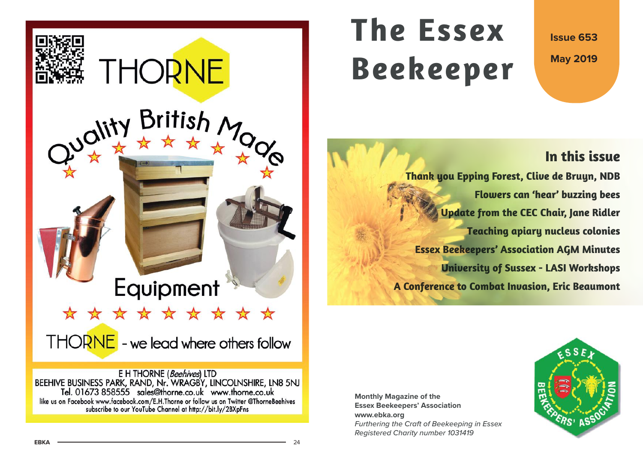

BEEHIVE BUSINESS PARK, RAND, Nr. WRAGBY, LINCOLNSHIRE, LN8 5NJ<br>Tel. 01673 858555 sales@thorne.co.uk www.thorne.co.uk like us on Facebook www.facebook.com/E.H.Thorne or follow us on Twitter @ThorneBeehives subscribe to our YouTube Channel at http://bit.ly/2BXpFns

# **The EssexBeekeeper**

**Issue 653May 2019**

# **Inthis is sue**

Thank you Epping Forest, Clive de Bruyn, NDB Flowers can 'hear' buzzing bees Update from the CEC Chair, Jane Ridler Teaching apiary nucleus colonies **Essex Beekeepers' Association AGM Minutes University of Sussex - LASI Workshops** A Conference to Combat Invasion, Eric Beaumont

**Monthly Magazine of the Essex Beekeepers' Association www.ebka.org** Furthering the Craft of Beekeeping in Essex Registered Charity number 1031419

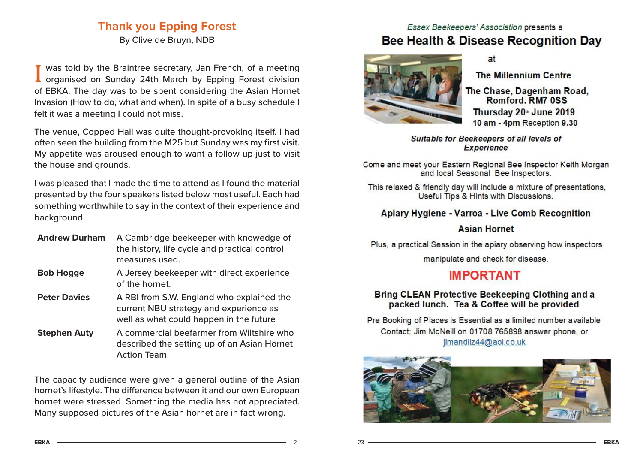# **Thank you Epping Forest**

By Clive de Bruyn, NDB

I was told by the Braintree secretary, Jan French, of a meeting<br>organised on Sunday 24th March by Epping Forest division of EBKA. The day was to be spent considering the Asian Hornet Invasion (How to do, what and when). In spite of a busy schedule I felt it was a meeting I could not miss.

The venue, Copped Hall was quite thought-provoking itself. I had often seen the building from the M25 but Sunday was my first visit. My appetite was aroused enough to want a follow up just to visit the house and grounds.

I was pleased that I made the time to attend as I found the material presented by the four speakers listed below most useful. Each had something worthwhile to say in the context of their experience and background.

| <b>Andrew Durham</b> | A Cambridge beekeeper with knowedge of<br>the history, life cycle and practical control<br>measures used.                      |
|----------------------|--------------------------------------------------------------------------------------------------------------------------------|
| <b>Bob Hogge</b>     | A Jersey beekeeper with direct experience<br>of the hornet.                                                                    |
| <b>Peter Davies</b>  | A RBI from S.W. England who explained the<br>current NBU strategy and experience as<br>well as what could happen in the future |
| <b>Stephen Auty</b>  | A commercial beefarmer from Wiltshire who<br>described the setting up of an Asian Hornet<br><b>Action Team</b>                 |

The capacity audience were given a general outline of the Asian hornet's lifestyle. The difference between it and our own European hornet were stressed. Something the media has not appreciated. Many supposed pictures of the Asian hornet are in fact wrong.

# Essex Beekeepers' Association presents a Bee Health & Disease Recognition Day

 $at$ 



# The Millennium Centre

The Chase, Dagenham Road, Romford, RM7 0SS Thursday 20th June 2019 10 am - 4pm Reception 9.30

Suitable for Beekeepers of all levels of **Experience** 

Come and meet your Eastern Regional Bee Inspector Keith Morgan and local Seasonal Bee Inspectors.

This relaxed & friendly day will include a mixture of presentations. Useful Tips & Hints with Discussions.

# Apiary Hygiene - Varroa - Live Comb Recognition

# **Asian Hornet**

Plus, a practical Session in the apiary observing how inspectors

manipulate and check for disease.

# **IMPORTANT**

# Bring CLEAN Protective Beekeeping Clothing and a packed lunch. Tea & Coffee will be provided.

Pre Booking of Places is Essential as a limited number available Contact: Jim McNeill on 01708 765898 answer phone, or jimandliz44@aol.co.uk

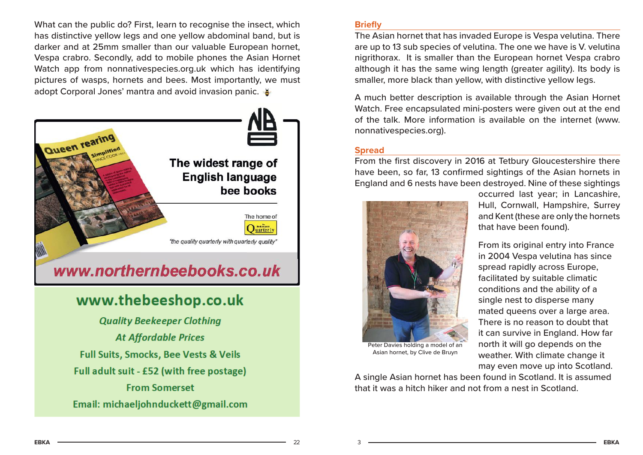What can the public do? First, learn to recognise the insect, which has distinctive yellow legs and one yellow abdominal band, but is darker and at 25mm smaller than our valuable European hornet, Vespa crabro. Secondly, add to mobile phones the Asian Hornet Watch app from nonnativespecies.org.uk which has identifying pictures of wasps, hornets and bees. Most importantly, we must adopt Corporal Jones' mantra and avoid invasion panic.  $\blacktriangle$ 



**Quality Beekeeper Clothing At Affordable Prices Full Suits, Smocks, Bee Vests & Veils** Full adult suit - £52 (with free postage) **From Somerset** Email: michaeljohnduckett@gmail.com

## **Briefl y**

The Asian hornet that has invaded Europe is Vespa velutina. There are up to 13 sub species of velutina. The one we have is V. velutina nigrithorax. It is smaller than the European hornet Vespa crabro although it has the same wing length (greater agility). Its body is smaller, more black than yellow, with distinctive yellow legs.

A much better description is available through the Asian Hornet Watch. Free encapsulated mini-posters were given out at the end of the talk. More information is available on the internet (www. nonnativespecies.org).

## **Spread**

From the first discovery in 2016 at Tetbury Gloucestershire there have been, so far, 13 confirmed sightings of the Asian hornets in England and 6 nests have been destroyed. Nine of these sightings



occurred last year; in Lancashire, Hull, Cornwall, Hampshire, Surrey and Kent (these are only the hornets that have been found).

From its original entry into France in 2004 Vespa velutina has since spread rapidly across Europe, facilitated by suitable climatic conditions and the ability of a single nest to disperse many mated queens over a large area. There is no reason to doubt that it can survive in England. How far north it will go depends on the weather. With climate change it may even move up into Scotland.

A single Asian hornet has been found in Scotland. It is assumed that it was a hitch hiker and not from a nest in Scotland.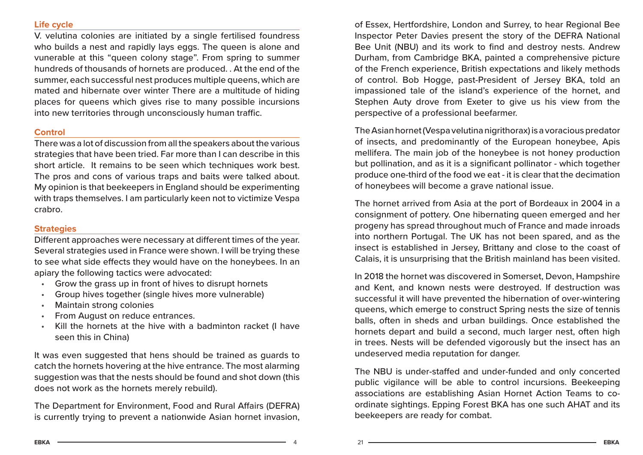# **Life cycle**

V. velutina colonies are initiated by a single fertilised foundress who builds a nest and rapidly lays eggs. The queen is alone and vunerable at this "queen colony stage". From spring to summer hundreds of thousands of hornets are produced. . At the end of the summer, each successful nest produces multiple queens, which are mated and hibernate over winter There are a multitude of hiding places for queens which gives rise to many possible incursions into new territories through unconsciously human traffic.

# **Control**

There was a lot of discussion from all the speakers about the various strategies that have been tried. Far more than I can describe in this short article. It remains to be seen which techniques work best. The pros and cons of various traps and baits were talked about. My opinion is that beekeepers in England should be experimenting with traps themselves. I am particularly keen not to victimize Vespa crabro.

## **Strategies**

Different approaches were necessary at different times of the year. Several strategies used in France were shown. I will be trying these to see what side effects they would have on the honeybees. In an apiary the following tactics were advocated:

- Grow the grass up in front of hives to disrupt hornets
- Group hives together (single hives more vulnerable)
- Maintain strong colonies
- From August on reduce entrances.
- Kill the hornets at the hive with a badminton racket (I have seen this in China)

It was even suggested that hens should be trained as guards to catch the hornets hovering at the hive entrance. The most alarming suggestion was that the nests should be found and shot down (this does not work as the hornets merely rebuild).

The Department for Environment, Food and Rural Affairs (DEFRA) is currently trying to prevent a nationwide Asian hornet invasion, of Essex, Hertfordshire, London and Surrey, to hear Regional Bee Inspector Peter Davies present the story of the DEFRA National Bee Unit (NBU) and its work to find and destroy nests. Andrew Durham, from Cambridge BKA, painted a comprehensive picture of the French experience, British expectations and likely methods of control. Bob Hogge, past-President of Jersey BKA, told an impassioned tale of the island's experience of the hornet, and Stephen Auty drove from Exeter to give us his view from the perspective of a professional beefarmer.

The Asian hornet (Vespa velutina nigrithorax) is a voracious predator of insects, and predominantly of the European honeybee, Apis mellifera. The main job of the honeybee is not honey production but pollination, and as it is a significant pollinator - which together produce one-third of the food we eat - it is clear that the decimation of honeybees will become a grave national issue.

The hornet arrived from Asia at the port of Bordeaux in 2004 in a consignment of pottery. One hibernating queen emerged and her progeny has spread throughout much of France and made inroads into northern Portugal. The UK has not been spared, and as the insect is established in Jersey, Brittany and close to the coast of Calais, it is unsurprising that the British mainland has been visited.

In 2018 the hornet was discovered in Somerset, Devon, Hampshire and Kent, and known nests were destroyed. If destruction was successful it will have prevented the hibernation of over-wintering queens, which emerge to construct Spring nests the size of tennis balls, often in sheds and urban buildings. Once established the hornets depart and build a second, much larger nest, often high in trees. Nests will be defended vigorously but the insect has an undeserved media reputation for danger.

The NBU is under-staffed and under-funded and only concerted public vigilance will be able to control incursions. Beekeeping associations are establishing Asian Hornet Action Teams to coordinate sightings. Epping Forest BKA has one such AHAT and its beekeepers are ready for combat.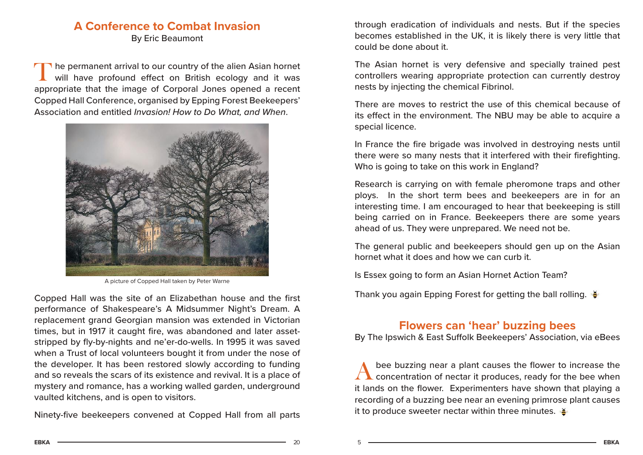# **A Conference to Combat Invasion**

By Eric Beaumont

The permanent arrival to our country of the alien Asian hornet<br>will have profound effect on British ecology and it was appropriate that the image of Corporal Jones opened a recent Copped Hall Conference, organised by Epping Forest Beekeepers' Association and entitled Invasion! How to Do What, and When.



A picture of Copped Hall taken by Peter Warne

Copped Hall was the site of an Elizabethan house and the first performance of Shakespeare's A Midsummer Night's Dream. A replacement grand Georgian mansion was extended in Victorian times, but in 1917 it caught fire, was abandoned and later assetstripped by fly-by-nights and ne'er-do-wells. In 1995 it was saved when a Trust of local volunteers bought it from under the nose of the developer. It has been restored slowly according to funding and so reveals the scars of its existence and revival. It is a place of mystery and romance, has a working walled garden, underground vaulted kitchens, and is open to visitors.

Ninety-five beekeepers convened at Copped Hall from all parts

through eradication of individuals and nests. But if the species becomes established in the UK, it is likely there is very little that could be done about it.

The Asian hornet is very defensive and specially trained pest controllers wearing appropriate protection can currently destroy nests by injecting the chemical Fibrinol.

There are moves to restrict the use of this chemical because of its effect in the environment. The NBU may be able to acquire a special licence.

In France the fire brigade was involved in destroying nests until there were so many nests that it interfered with their firefighting. Who is going to take on this work in England?

Research is carrying on with female pheromone traps and other ploys. In the short term bees and beekeepers are in for an interesting time. I am encouraged to hear that beekeeping is still being carried on in France. Beekeepers there are some years ahead of us. They were unprepared. We need not be.

The general public and beekeepers should gen up on the Asian hornet what it does and how we can curb it.

Is Essex going to form an Asian Hornet Action Team?

Thank you again Epping Forest for getting the ball rolling.  $\frac{3}{2}$ 

# **Flowers can 'hear' buzzing bees**

By The Ipswich & East Suffolk Beekeepers' Association, via eBees

A bee buzzing near a plant causes the flower to increase the concentration of nectar it produces, ready for the bee when it lands on the flower. Experimenters have shown that playing a recording of a buzzing bee near an evening primrose plant causes it to produce sweeter nectar within three minutes.  $\blacktriangleright$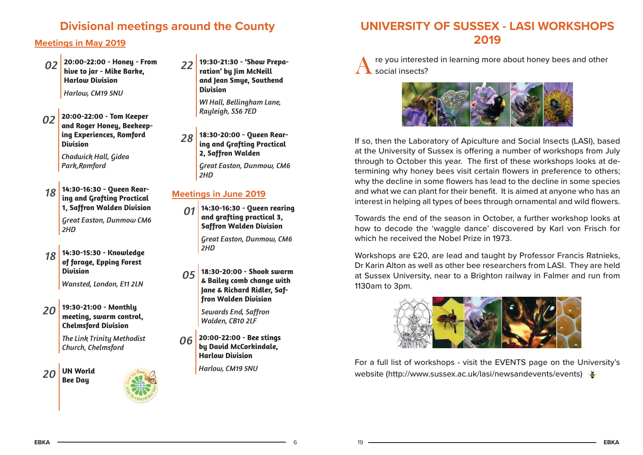# **Divisional meetings around the County**

# **Meetings in May 2019**

- *02* **20:00-22:00 - Honey - From hive to jar - Mike Barke, Harlow Division***Harlow, CM19 5NU*
- *02* **20:00-22:00 - Tom Keeper and Roger Honey, Beekeeping Experiences, Romford Division**

*Chadwick Hall, Gidea Park,Romford*

- *18* **14:30-16:30 - Queen Rear- ing and Grafting Practical 1, Saffron Walden Division** *Great Easton, Dunmow CM6 2HD*
- *18* **14:30-15:30 - Knowledge of forage, Epping Forest Division***Wansted, London, E11 2LN*

*20* **19:30-21:00 - Monthly meeting, swarm control, Chelmsford Division**

> *The Link Trinity Methodist Church, Chelmsford*

*20***UN World Bee Day**



*22* **19:30-21:30 - 'Show Prepa- ration' by Jim McNeill and Jean Smye, Southend Division***WI Hall, Bellingham Lane,* 

*Rayleigh, SS6 7ED*

*28* **18:30-20:00 - Queen Rear- ing and Grafting Practical 2, Saffron Walden** *Great Easton, Dunmow, CM6 2HD*

# **Meetings in June 2019**

- *01* **14:30-16:30 - Queen rearing and grafting practical 3, Saffron Walden Division** *Great Easton, Dunmow, CM6 2HD*
- *05* **18:30-20:00 - Shook swarm & Bailey comb change with Jane & Richard Ridler, Saffron Walden Division**

*Sewards End, Saffron Walden, CB10 2LF*

*06* **20:00-22:00 - Bee stings by David McCorkindale, Harlow Division**

*Harlow, CM19 5NU*

# **UNIVERSITY OF SUSSEX - LASI WORKSHOPS 2019**

re you interested in learning more about honey bees and other social insects?



If so, then the Laboratory of Apiculture and Social Insects (LASI), based at the University of Sussex is offering a number of workshops from July through to October this year. The first of these workshops looks at determining why honey bees visit certain flowers in preference to others; why the decline in some flowers has lead to the decline in some species and what we can plant for their benefit. It is aimed at anyone who has an interest in helping all types of bees through ornamental and wild flowers.

Towards the end of the season in October, a further workshop looks at how to decode the 'waggle dance' discovered by Karl von Frisch for which he received the Nobel Prize in 1973.

Workshops are £20, are lead and taught by Professor Francis Ratnieks, Dr Karin Alton as well as other bee researchers from LASI. They are held at Sussex University, near to a Brighton railway in Falmer and run from 1130am to 3pm.



For a full list of workshops - visit the EVENTS page on the University's website (http://www.sussex.ac.uk/lasi/newsandevents/events)  $\delta$ 

**EBKA** $A =$  6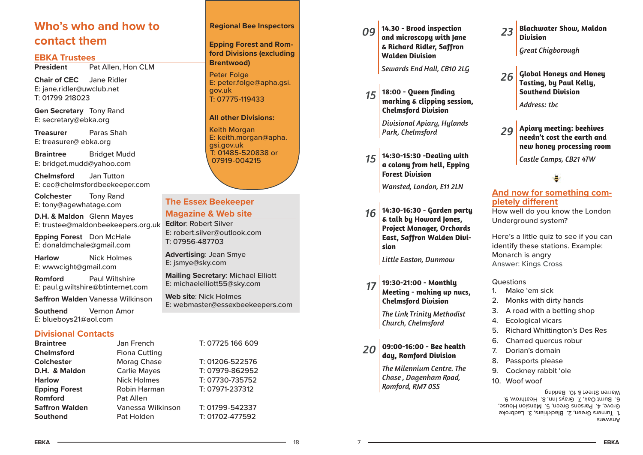# **Who's who and how tocontact them**

## **EBKA Trustees**

**President**Pat Allen, Hon CLM

**Chair of CEC** Jane Ridler E: jane.ridler@uwclub.net T: 01799 218023

**Gen Secretary** Tony Rand E: secretary@ebka.org

**Treasurer** Paras ShahE: treasurer@ ebka.org

**Braintree** Bridget Mudd E: bridget.mudd@yahoo.com

**Chelmsford** Jan Tutton E: cec@chelmsfordbeekeeper.com

**Colchester** Tony Rand E: tony@agewhatage.com

**D.H. & Maldon** Glenn Mayes E: trustee@maldonbeekeepers.org.uk

**Epping Forest** Don McHale E: donaldmchale@gmail.com

**Harlow** Nick Holmes E: wwwcight@gmail.com

**Romford** Paul Wiltshire E: paul.g.wiltshire@btinternet.com

**Saff ron Walden** Vanessa Wilkinson

**Southend** Vernon Amor E: blueboys21@aol.com

## **Divisional Contacts**

| <b>Braintree</b>      | Jan French           | T: 07725 166 609 |
|-----------------------|----------------------|------------------|
| <b>Chelmsford</b>     | <b>Fiona Cutting</b> |                  |
| <b>Colchester</b>     | <b>Morag Chase</b>   | T: 01206-522576  |
| D.H. & Maldon         | <b>Carlie Mayes</b>  | T: 07979-862952  |
| <b>Harlow</b>         | <b>Nick Holmes</b>   | T: 07730-735752  |
| <b>Epping Forest</b>  | Robin Harman         | T: 07971-237312  |
| Romford               | Pat Allen            |                  |
| <b>Saffron Walden</b> | Vanessa Wilkinson    | T: 01799-542337  |
| <b>Southend</b>       | Pat Holden           | T: 01702-477592  |

## **Regional Bee Inspectors**

**Epping Forest and Romford Divisions (excluding Brentwood)**

Peter Folge E: peter.folge@apha.gsi. gov.uk T: 07775-119433

## **All other Divisions:**

Keith Morgan E: keith.morgan@apha. gsi.gov.uk T: 01485-520838 or 07919-004215

# **The Essex Beekeeper**

## **Magazine & Web site**

**Editor**: Robert Silver E: robert.silver@outlook.comT: 07956-487703

**Advertising**: Jean Smye E: jsmye@sky.com

**Mailing Secretary**: Michael Elliott E: michaelelliott55@sky.com

**Web site**: Nick HolmesE: webmaster@essexbeekeepers.com *09* **14.30 - Brood inspection and microscopy with Jane & Richard Ridler, Saffron Walden Division**

*Sewards End Hall, CB10 2LG*

*15* **18:00 - Queen finding marking & clipping session, Chelmsford Division**

> *Divisional Apiary, Hylands Park, Chelmsford*

*15* **14:30-15:30 -Dealing with a colony from hell, Epping Forest Division**

*Wansted, London, E11 2LN*

*16* **14:30-16:30 - Garden party & talk by Howard Jones, Project Manager, Orchards East, Saffron Walden Division**

*Little Easton, Dunmow*

*17* **19:30-21:00 - Monthly Meeting - making up nucs, Chelmsford Division**

> *The Link Trinity Methodist Church, Chelmsford*

## *20***09:00-16:00 - Bee health day, Romford Division**

*The Milennium Centre. The Chase , Dagenham Road, Romford, RM7 0SS*

# *23* **Blackwater Show, Maldon Division***Great Chigborough*

*26* **Global Honeys and Honey Tasting, by Paul Kelly, Southend Division**

*Address: tbc*

*29* **Apiary meeting: beehives needn't cost the earth and new honey processing room** *Castle Camps, CB21 4TW*

## **And now for something completely different**

How well do you know the London Underground system?

Here's a little quiz to see if you can identify these stations. Example: Monarch is angry Answer: Kings Cross

## Questions

- 1. Make 'em sick
- 2. Monks with dirty hands
- 3. A road with a betting shop
- 4. Ecological vicars
- 5. Richard Whittington's Des Res
- 6. Charred quercus robur
- 7. Dorian's domain
- 8. Passports please
- 9. Cockney rabbit 'ole
- 10. Woof woof

Answers 1. Turners Green, 2. Blackfriars, 3. Ladbroke Grove, 4. Parsons Green, 5. Mansion House, 6. Burnt Oak, 7. Grays Inn, 8. Heathrow, 9. Warren Street & 10. Barking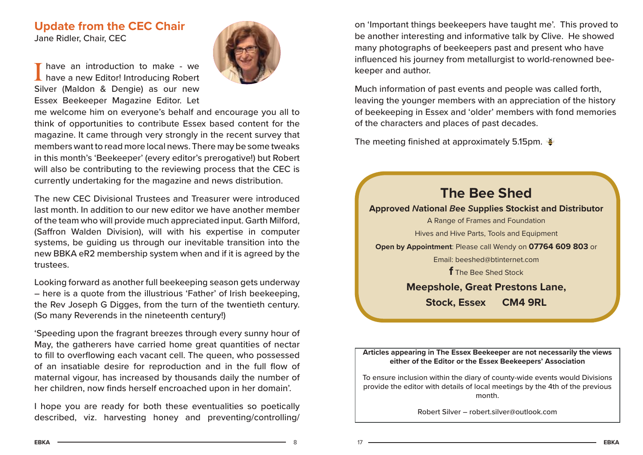# **Update from the CEC Chair**  Jane Ridler, Chair, CEC

I have an introduction to make - we<br>I have a new Editor! Introducing Robert Silver (Maldon & Dengie) as our new Essex Beekeeper Magazine Editor. Let



me welcome him on everyone's behalf and encourage you all to think of opportunities to contribute Essex based content for the magazine. It came through very strongly in the recent survey that members want to read more local news. There may be some tweaks in this month's 'Beekeeper' (every editor's prerogative!) but Robert will also be contributing to the reviewing process that the CEC is currently undertaking for the magazine and news distribution.

The new CEC Divisional Trustees and Treasurer were introduced last month. In addition to our new editor we have another member of the team who will provide much appreciated input. Garth Milford, (Saffron Walden Division), will with his expertise in computer systems, be guiding us through our inevitable transition into the new BBKA eR2 membership system when and if it is agreed by the trustees.

Looking forward as another full beekeeping season gets underway – here is a quote from the illustrious 'Father' of Irish beekeeping, the Rev Joseph G Digges, from the turn of the twentieth century. (So many Reverends in the nineteenth century!)

'Speeding upon the fragrant breezes through every sunny hour of May, the gatherers have carried home great quantities of nectar to fill to overflowing each vacant cell. The queen, who possessed of an insatiable desire for reproduction and in the full flow of maternal vigour, has increased by thousands daily the number of her children, now finds herself encroached upon in her domain'.

I hope you are ready for both these eventualities so poetically described, viz. harvesting honey and preventing/controlling/

on 'Important things beekeepers have taught me'. This proved to be another interesting and informative talk by Clive. He showed many photographs of beekeepers past and present who have influenced his journey from metallurgist to world-renowned beekeeper and author.

Much information of past events and people was called forth, leaving the younger members with an appreciation of the history of beekeeping in Essex and 'older' members with fond memories of the characters and places of past decades.

The meeting finished at approximately 5.15pm.  $\bullet$ 

# **The Bee Shed**

## **Approved National Bee Supplies Stockist and Distributor**

A Range of Frames and Foundation Hives and Hive Parts, Tools and Equipment **Open by Appointment**: Please call Wendy on **07764 609 803** or Email: beeshed@btinternet.com**f** The Bee Shed Stock

# **Meepshole, Great Prestons Lane,**

**Stock, Essex CM4 9RL**

**Articles appearing in The Essex Beekeeper are not necessarily the views either of the Editor or the Essex Beekeepers' Association**

To ensure inclusion within the diary of county-wide events would Divisions provide the editor with details of local meetings by the 4th of the previous month.

Robert Silver – robert.silver@outlook.com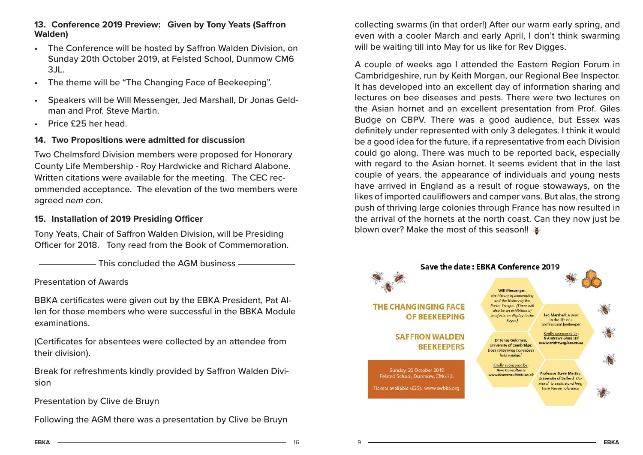# **13. Conference 2019 Preview: Given by Tony Yeats (Saffron Walden)**

- The Conference will be hosted by Saffron Walden Division, on Sunday 20th October 2019, at Felsted School, Dunmow CM6 3JL.
- The theme will be "The Changing Face of Beekeeping".
- Speakers will be Will Messenger, Jed Marshall, Dr Jonas Geldman and Prof. Steve Martin.
- Price £25 her head.

# **14. Two Propositions were admitted for discussion**

Two Chelmsford Division members were proposed for Honorary County Life Membership - Roy Hardwicke and Richard Alabone. Written citations were available for the meeting. The CEC recommended acceptance. The elevation of the two members were agreed nem con.

# **15. Installation of 2019 Presiding Officer**

Tony Yeats, Chair of Saffron Walden Division, will be Presiding Officer for 2018. Tony read from the Book of Commemoration.

- This concluded the AGM business -

Presentation of Awards

BBKA certificates were given out by the EBKA President, Pat Allen for those members who were successful in the BBKA Module examinations.

(Certificates for absentees were collected by an attendee from their division).

Break for refreshments kindly provided by Saffron Walden Division

Presentation by Clive de Bruyn

Following the AGM there was a presentation by Clive be Bruyn

collecting swarms (in that order!) After our warm early spring, and even with a cooler March and early April, I don't think swarming will be waiting till into May for us like for Rev Digges.

A couple of weeks ago I attended the Eastern Region Forum in Cambridgeshire, run by Keith Morgan, our Regional Bee Inspector. It has developed into an excellent day of information sharing and lectures on bee diseases and pests. There were two lectures on the Asian hornet and an excellent presentation from Prof. Giles Budge on CBPV. There was a good audience, but Essex was definitely under represented with only 3 delegates. I think it would be a good idea for the future, if a representative from each Division could go along. There was much to be reported back, especially with regard to the Asian hornet. It seems evident that in the last couple of years, the appearance of individuals and young nests have arrived in England as a result of rogue stowaways, on the likes of imported cauliflowers and camper vans. But alas, the strong push of thriving large colonies through France has now resulted in the arrival of the hornets at the north coast. Can they now just be blown over? Make the most of this season!!



 $\alpha$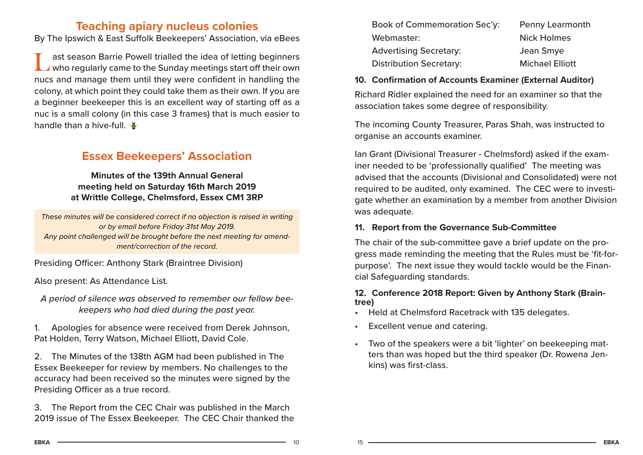# **Teaching apiary nucleus colonies**

By The Ipswich & East Suffolk Beekeepers' Association, via eBees

ast season Barrie Powell trialled the idea of letting beginners<br>who regularly came to the Sunday meetings start off their own nucs and manage them until they were confident in handling the colony, at which point they could take them as their own. If you are a beginner beekeeper this is an excellent way of starting off as a nuc is a small colony (in this case 3 frames) that is much easier to handle than a hive-full.

# **Essex Beekeepers' Association**

**Minutes of the 139th Annual Generalmeeting held on Saturday 16th March 2019 at Writtle College, Chelmsford, Essex CM1 3RP**

These minutes will be considered correct if no objection is raised in writing or by email before Friday 31st May 2019. Any point challenged will be brought before the next meeting for amendment/correction of the record.

Presiding Officer: Anthony Stark (Braintree Division)

Also present: As Attendance List.

A period of silence was observed to remember our fellow beekeepers who had died during the past year.

1. Apologies for absence were received from Derek Johnson, Pat Holden, Terry Watson, Michael Elliott, David Cole.

2. The Minutes of the 138th AGM had been published in The Essex Beekeeper for review by members. No challenges to the accuracy had been received so the minutes were signed by the Presiding Officer as a true record.

3. The Report from the CEC Chair was published in the March 2019 issue of The Essex Beekeeper. The CEC Chair thanked the

| Book of Commemoration Sec'y:   | Penny Learmonth        |
|--------------------------------|------------------------|
| Webmaster:                     | <b>Nick Holmes</b>     |
| <b>Advertising Secretary:</b>  | Jean Smye              |
| <b>Distribution Secretary:</b> | <b>Michael Elliott</b> |

**10. Confirmation of Accounts Examiner (External Auditor)**

Richard Ridler explained the need for an examiner so that the association takes some degree of responsibility.

The incoming County Treasurer, Paras Shah, was instructed to organise an accounts examiner.

Ian Grant (Divisional Treasurer - Chelmsford) asked if the examiner needed to be 'professionally qualified' The meeting was advised that the accounts (Divisional and Consolidated) were not required to be audited, only examined. The CEC were to investigate whether an examination by a member from another Division was adequate.

# **11. Report from the Governance Sub-Committee**

The chair of the sub-committee gave a brief update on the progress made reminding the meeting that the Rules must be 'fit-forpurpose'. The next issue they would tackle would be the Financial Safeguarding standards.

# **12. Conference 2018 Report: Given by Anthony Stark (Braintree)**

- Held at Chelmsford Racetrack with 135 delegates.
- Excellent venue and catering.
- Two of the speakers were a bit 'lighter' on beekeeping matters than was hoped but the third speaker (Dr. Rowena Jenkins) was first-class.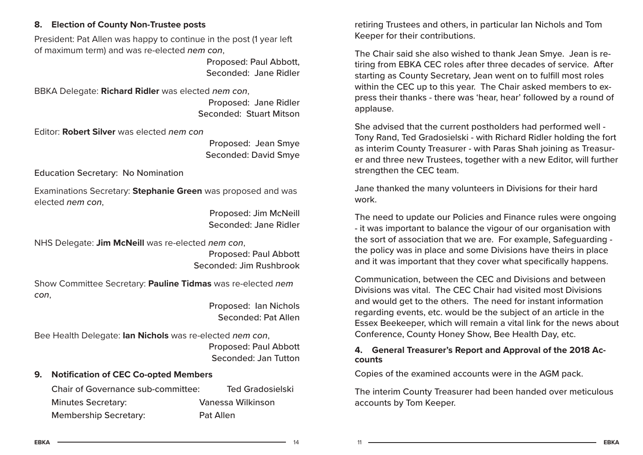# **8. Election of County Non-Trustee posts**

President: Pat Allen was happy to continue in the post (1 year left) of maximum term) and was re-elected nem con,

> Proposed: Paul Abbott, Seconded: Jane Ridler

BBKA Delegate: **Richard Ridler** was elected nem con, Proposed: Jane Ridler Seconded: Stuart Mitson

Editor: **Robert Silver** was elected nem con

Proposed: Jean Smye Seconded: David Smye

Education Secretary: No Nomination

Examinations Secretary: **Stephanie Green** was proposed and was elected nem con,

> Proposed: Jim McNeill Seconded: Jane Ridler

NHS Delegate: **Jim McNeill** was re-elected nem con,

Proposed: Paul Abbott Seconded: Jim Rushbrook

Show Committee Secretary: **Pauline Tidmas** was re-elected nem con,

> Proposed: Ian Nichols Seconded: Pat Allen

Bee Health Delegate: **Ian Nichols** was re-elected nem con, Proposed: Paul Abbott

Seconded: Jan Tutton

# **9. Notification of CEC Co-opted Members**

 Chair of Governance sub-committee: Ted Gradosielski Minutes Secretary: Vanessa Wilkinson Membership Secretary: Pat Allen

retiring Trustees and others, in particular Ian Nichols and Tom Keeper for their contributions.

The Chair said she also wished to thank Jean Smye. Jean is retiring from EBKA CEC roles after three decades of service. After starting as County Secretary, Jean went on to fulfill most roles within the CEC up to this year. The Chair asked members to express their thanks - there was 'hear, hear' followed by a round of applause.

She advised that the current postholders had performed well - Tony Rand, Ted Gradosielski - with Richard Ridler holding the fort as interim County Treasurer - with Paras Shah joining as Treasurer and three new Trustees, together with a new Editor, will further strengthen the CEC team.

Jane thanked the many volunteers in Divisions for their hard work.

The need to update our Policies and Finance rules were ongoing - it was important to balance the vigour of our organisation with the sort of association that we are. For example, Safeguarding the policy was in place and some Divisions have theirs in place and it was important that they cover what specifically happens.

Communication, between the CEC and Divisions and between Divisions was vital. The CEC Chair had visited most Divisions and would get to the others. The need for instant information regarding events, etc. would be the subject of an article in the Essex Beekeeper, which will remain a vital link for the news about Conference, County Honey Show, Bee Health Day, etc.

# **4. General Treasurer's Report and Approval of the 2018 Accounts**

Copies of the examined accounts were in the AGM pack.

The interim County Treasurer had been handed over meticulous accounts by Tom Keeper.

 $11 -$